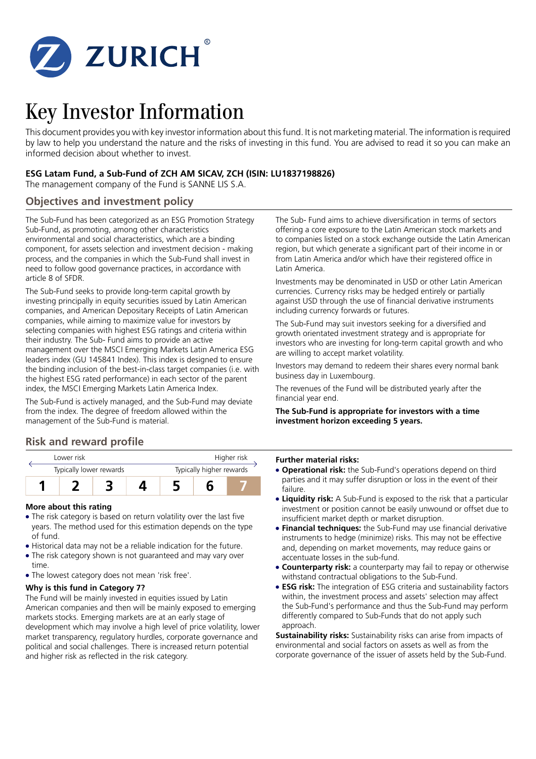

# Key Investor Information

This document provides you with key investor information about this fund. It is not marketing material. The information is required by law to help you understand the nature and the risks of investing in this fund. You are advised to read it so you can make an informed decision about whether to invest.

## **ESG Latam Fund, a Sub-Fund of ZCH AM SICAV, ZCH (ISIN: LU1837198826)**

The management company of the Fund is SANNE LIS S.A.

## **Objectives and investment policy**

The Sub-Fund has been categorized as an ESG Promotion Strategy Sub-Fund, as promoting, among other characteristics environmental and social characteristics, which are a binding component, for assets selection and investment decision - making process, and the companies in which the Sub-Fund shall invest in need to follow good governance practices, in accordance with article 8 of SFDR.

The Sub-Fund seeks to provide long-term capital growth by investing principally in equity securities issued by Latin American companies, and American Depositary Receipts of Latin American companies, while aiming to maximize value for investors by selecting companies with highest ESG ratings and criteria within their industry. The Sub- Fund aims to provide an active management over the MSCI Emerging Markets Latin America ESG leaders index (GU 145841 Index). This index is designed to ensure the binding inclusion of the best-in-class target companies (i.e. with the highest ESG rated performance) in each sector of the parent index, the MSCI Emerging Markets Latin America Index.

The Sub-Fund is actively managed, and the Sub-Fund may deviate from the index. The degree of freedom allowed within the management of the Sub-Fund is material.

## **Risk and reward profile**



### **More about this rating**

- The risk category is based on return volatility over the last five years. The method used for this estimation depends on the type of fund.
- 5 Historical data may not be a reliable indication for the future.
- The risk category shown is not guaranteed and may vary over time.
- The lowest category does not mean 'risk free'.

## **Why is this fund in Category 7?**

The Fund will be mainly invested in equities issued by Latin American companies and then will be mainly exposed to emerging markets stocks. Emerging markets are at an early stage of development which may involve a high level of price volatility, lower market transparency, regulatory hurdles, corporate governance and political and social challenges. There is increased return potential and higher risk as reflected in the risk category.

The Sub- Fund aims to achieve diversification in terms of sectors offering a core exposure to the Latin American stock markets and to companies listed on a stock exchange outside the Latin American region, but which generate a significant part of their income in or from Latin America and/or which have their registered office in Latin America.

Investments may be denominated in USD or other Latin American currencies. Currency risks may be hedged entirely or partially against USD through the use of financial derivative instruments including currency forwards or futures.

The Sub-Fund may suit investors seeking for a diversified and growth orientated investment strategy and is appropriate for investors who are investing for long-term capital growth and who are willing to accept market volatility.

Investors may demand to redeem their shares every normal bank business day in Luxembourg.

The revenues of the Fund will be distributed yearly after the financial year end.

#### **The Sub-Fund is appropriate for investors with a time investment horizon exceeding 5 years.**

#### **Further material risks:**

- **Operational risk:** the Sub-Fund's operations depend on third parties and it may suffer disruption or loss in the event of their failure.
- **Liquidity risk:** A Sub-Fund is exposed to the risk that a particular investment or position cannot be easily unwound or offset due to insufficient market depth or market disruption.
- **Financial techniques:** the Sub-Fund may use financial derivative instruments to hedge (minimize) risks. This may not be effective and, depending on market movements, may reduce gains or accentuate losses in the sub-fund.
- **Counterparty risk:** a counterparty may fail to repay or otherwise withstand contractual obligations to the Sub-Fund.
- **ESG risk:** The integration of ESG criteria and sustainability factors within, the investment process and assets' selection may affect the Sub-Fund's performance and thus the Sub-Fund may perform differently compared to Sub-Funds that do not apply such approach.

**Sustainability risks:** Sustainability risks can arise from impacts of environmental and social factors on assets as well as from the corporate governance of the issuer of assets held by the Sub-Fund.